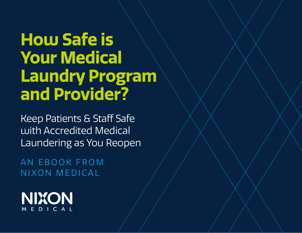# **How Safe is Your Medical Laundry Program and Provider?**

Keep Patients & Staff Safe with Accredited Medical Laundering as You Reopen

AN EBOOK FROM NIXON MEDICAL

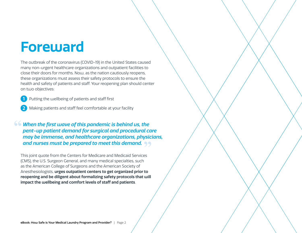### **Foreward**

The outbreak of the coronavirus (COVID-19) in the United States caused many non-urgent healthcare organizations and outpatient facilities to close their doors for months. Now, as the nation cautiously reopens, these organizations must assess their safety protocols to ensure the health and safety of patients and staff. Your reopening plan should center on two objectives:

**1** Putting the wellbeing of patients and staff first

Making patients and staff feel comfortable at your facility **2**

*When the first wave of this pandemic is behind us, the pent-up patient demand for surgical and procedural care may be immense, and healthcare organizations, physicians, and nurses must be prepared to meet this demand.*  **" "**

This joint quote from the Centers for Medicare and Medicaid Services (CMS), the U.S. Surgeon General, and many medical specialties, such as the American College of Surgeons and the American Society of Anesthesiologists, **urges outpatient centers to get organized prior to reopening and be diligent about formalizing safety protocols that will impact the wellbeing and comfort levels of staff and patients**.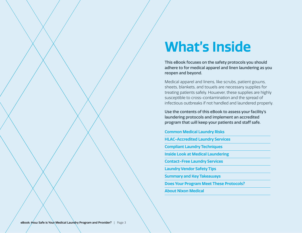## **What's Inside**

This eBook focuses on the safety protocols you should adhere to for medical apparel and linen laundering as you reopen and beyond.

Medical apparel and linens, like scrubs, patient gowns, sheets, blankets, and towels are necessary supplies for treating patients safely. However, these supplies are highly susceptible to cross-contamination and the spread of infectious outbreaks if not handled and laundered properly.

Use the contents of this eBook to assess your facility's laundering protocols and implement an accredited program that will keep your patients and staff safe.

#### **Common Medical Laundry Risks**

**HLAC-Accredited Laundry Services**

**Compliant Laundry Techniques**

**Inside Look at Medical Laundering**

**Contact-Free Laundry Services** 

**Laundry Vendor Safety Tips** 

**Summary and Key Takeaways**

**Does Your Program Meet These Protocols?** 

**About Nixon Medical**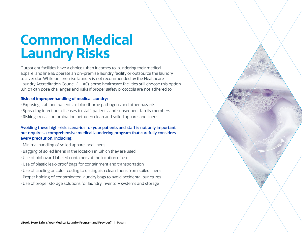### **Common Medical Laundry Risks**

Outpatient facilities have a choice when it comes to laundering their medical apparel and linens: operate an on-premise laundry facility or outsource the laundry to a vendor. While on-premise laundry is not recommended by the Healthcare Laundry Accreditation Council (HLAC), some healthcare facilities still choose this option which can pose challenges and risks if proper safety protocols are not adhered to.

#### **Risks of improper handling of medical laundry:**

- Exposing staff and patients to bloodborne pathogens and other hazards
- Spreading infectious diseases to staff, patients, and subsequent family members
- Risking cross-contamination between clean and soiled apparel and linens

#### Avoiding these high-risk scenarios for your patients and staff is not only important, but requires a comprehensive medical laundering program that carefully considers every precaution, including:

- Minimal handling of soiled apparel and linens
- Bagging of soiled linens in the location in which they are used
- Use of biohazard labeled containers at the location of use
- Use of plastic leak-proof bags for containment and transportation
- Use of labeling or color-coding to distinguish clean linens from soiled linens
- Proper holding of contaminated laundry bags to avoid accidental punctures
- Use of proper storage solutions for laundry inventory systems and storage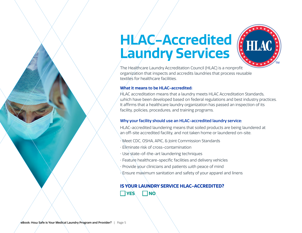## **HLAC-Accredited Laundry Services**



The Healthcare Laundry Accreditation Council (HLAC) is a nonprofit organization that inspects and accredits laundries that process reusable textiles for healthcare facilities.

#### **What it means to be HLAC-accredited:**

HLAC accreditation means that a laundry meets HLAC Accreditation Standards, which have been developed based on federal regulations and best industry practices. It affirms that a healthcare laundry organization has passed an inspection of its facility, policies, procedures, and training programs.

#### Why your facility should use an HLAC-accredited laundry service:

HLAC-accredited laundering means that soiled products are being laundered at an off-site accredited facility, and not taken home or laundered on-site.

- Meet CDC, OSHA, APIC, & Joint Commission Standards
- Eliminate risk of cross-contamination
- Use state-of-the-art laundering techniques
- Feature healthcare-specific facilities and delivery vehicles
- Provide your clinicians and patients with peace of mind
- Ensure maximum sanitation and safety of your apparel and linens

### **IS YOUR LAUNDRY SERVICE HLAC-ACCREDITED? YES NO**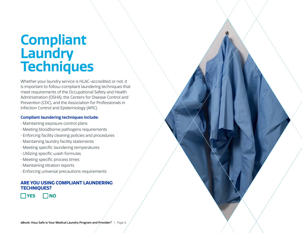### **Compliant Laundry Techniques**

Whether your laundry service is HLAC-accredited or not, it is important to follow compliant laundering techniques that meet requirements of the Occupational Safety and Health Administration (OSHA), the Centers for Disease Control and Prevention (CDC), and the Association for Professionals in Infection Control and Epidemiology (APIC).

#### **Compliant laundering techniques include:**

- Maintaining exposure control plans
- Meeting bloodborne pathogens requirements
- Enforcing facility cleaning policies and procedures
- Maintaining laundry facility statements
- Meeting specific laundering temperatures
- Utilizing specific wash formulas
- Meeting specific process times
- Maintaining titration reports
- Enforcing universal precautions requirements

#### **ARE YOU USING COMPLIANT LAUNDERING TECHNIQUES?**

 $\Box$ YES  $\Box$ NO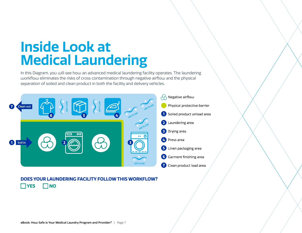## **Inside Look at Medical Laundering**

In this Diagram, you will see how an advanced medical laundering facility operates. The laundering workflow eliminates the risks of cross contamination through negative airflow and the physical separation of soiled and clean product in both the facility and delivery vehicles.



### **DOES YOUR LAUNDERING FACILITY FOLLOW THIS WORKFLOW? YES NO**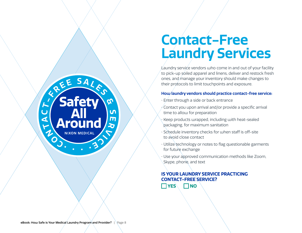

### **Contact-Free Laundry Services**

Laundry service vendors who come in and out of your facility to pick-up soiled apparel and linens, deliver and restock fresh ones, and manage your inventory should make changes to their protocols to limit touchpoints and exposure.

#### **How laundry vendors should practice contact-free service:**

- Enter through a side or back entrance
- $\sqrt{\frac{1}{2}}$  Contact you upon arrival and/or provide a specific arrival time to allow for preparation
- Keep products wrapped, including with heat-sealed packaging, for maximum sanitation
- Schedule inventory checks for when staff is off-site to avoid close contact
- Utilize technology or notes to flag questionable garments for future exchange
- Use your approved communication methods like Zoom, Skype, phone, and text

### **IS YOUR LAUNDRY SERVICE PRACTICING CONTACT-FREE SERVICE?**

 $\neg$  YES  $\neg$  NO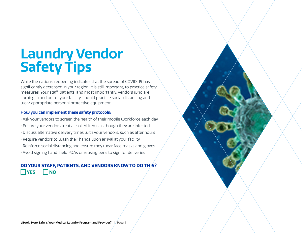## **Laundry Vendor Safety Tips**

While the nation's reopening indicates that the spread of COVID-19 has significantly decreased in your region, it is still important, to practice safety measures. Your staff, patients, and most importantly, vendors who are coming in and out of your facility, should practice social distancing and wear appropriate personal protective equipment.

#### **How you can implement these safety protocols:**

- Ask your vendors to screen the health of their mobile workforce each day
- Ensure your vendors treat all soiled items as though they are infected
- Discuss alternative delivery times with your vendors, such as after hours
- Require vendors to wash their hands upon arrival at your facility
- Reinforce social distancing and ensure they wear face masks and gloves
- Avoid signing hand-held PDAs or reusing pens to sign for deliveries

### **DO YOUR STAFF, PATIENTS, AND VENDORS KNOW TO DO THIS? NO**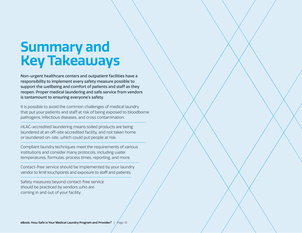### **Summary and Key Takeaways**

Non-urgent healthcare centers and outpatient facilities have a responsibility to implement every safety measure possible to support the wellbeing and comfort of patients and staff as they reopen. Proper medical laundering and safe service from vendors is tantamount to ensuring everyone's safety.

It is possible to avoid the common challenges of medical laundry that put your patients and staff at risk of being exposed to bloodborne pathogens, infectious diseases, and cross contamination.

HLAC-accredited laundering means soiled products are being laundered at an off-site accredited facility, and not taken home or laundered on-site, which could put people at risk.

Compliant laundry techniques meet the requirements of various institutions and consider many protocols, including water temperatures, formulas, process times, reporting, and more.

Contact-free service should be implemented by your laundry vendor to limit touchpoints and exposure to staff and patients.

Safety measures beyond contact-free service should be practiced by vendors who are coming in and out of your facility.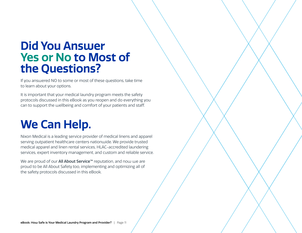### **Did You Answer Yes or No to Most of the Questions?**

If you answered NO to some or most of these questions, take time to learn about your options.

It is important that your medical laundry program meets the safety protocols discussed in this eBook as you reopen and do everything you can to support the wellbeing and comfort of your patients and staff.

### **We Can Help.**

Nixon Medical is a leading service provider of medical linens and apparel serving outpatient healthcare centers nationwide. We provide trusted medical apparel and linen rental services, HLAC-accredited laundering services, expert inventory management, and custom and reliable service.

We are proud of our **All About Service™** reputation, and now we are proud to be All About Safety too, implementing and optimizing all of the safety protocols discussed in this eBook.